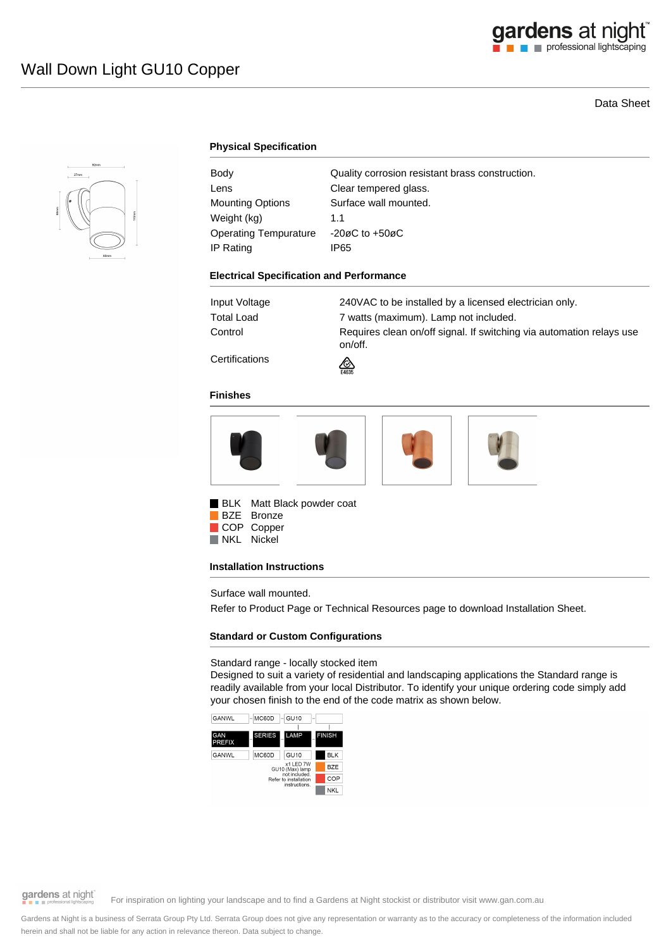# Data Sheet



## **Physical Specification**

| Body                    | Quality corrosion resistant brass construction. |
|-------------------------|-------------------------------------------------|
| Lens                    | Clear tempered glass.                           |
| <b>Mounting Options</b> | Surface wall mounted.                           |
| Weight (kg)             | 11                                              |
| Operating Tempurature   | $-20\varnothing$ C to $+50\varnothing$ C        |
| IP Rating               | IP65                                            |

#### **Electrical Specification and Performance**

| Input Voltage | 240VAC to be installed by a licensed electrician only.                          |
|---------------|---------------------------------------------------------------------------------|
| Total Load    | 7 watts (maximum). Lamp not included.                                           |
| Control       | Requires clean on/off signal. If switching via automation relays use<br>on/off. |
|               |                                                                                 |

**Certifications** 

#### **Finishes**



⚠

**BLK** Matt Black powder coat BZE Bronze

COP Copper

NKL Nickel

## **Installation Instructions**

Surface wall mounted.

Refer to Product Page or Technical Resources page to download Installation Sheet.

## **Standard or Custom Configurations**

Standard range - locally stocked item

Designed to suit a variety of residential and landscaping applications the Standard range is readily available from your local Distributor. To identify your unique ordering code simply add your chosen finish to the end of the code matrix as shown below.



gardens at night

For inspiration on lighting your landscape and to find a Gardens at Night stockist or distributor visit www.gan.com.au

Gardens at Night is a business of Serrata Group Pty Ltd. Serrata Group does not give any representation or warranty as to the accuracy or completeness of the information included herein and shall not be liable for any action in relevance thereon. Data subject to change.